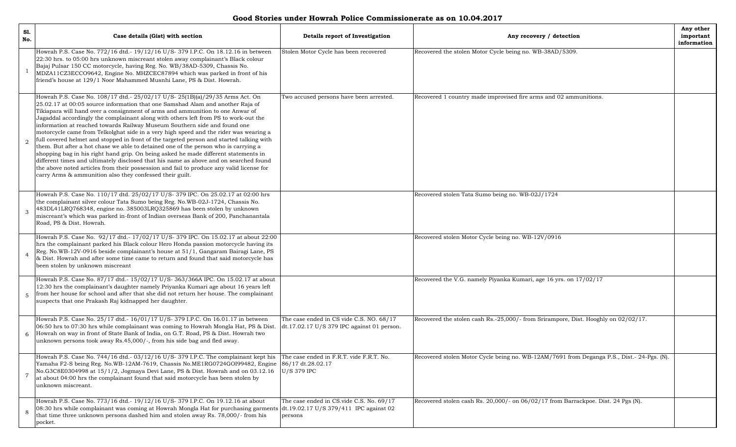**Good Stories under Howrah Police Commissionerate as on 10.04.2017**

| S1.<br>No.     | Case details (Gist) with section                                                                                                                                                                                                                                                                                                                                                                                                                                                                                                                                                                                                                                                                                                                                                                                                                                                                                                                                                                                                       | Details report of Investigation                                                        | Any recovery / detection                                                                   | Any other<br>important<br>information |
|----------------|----------------------------------------------------------------------------------------------------------------------------------------------------------------------------------------------------------------------------------------------------------------------------------------------------------------------------------------------------------------------------------------------------------------------------------------------------------------------------------------------------------------------------------------------------------------------------------------------------------------------------------------------------------------------------------------------------------------------------------------------------------------------------------------------------------------------------------------------------------------------------------------------------------------------------------------------------------------------------------------------------------------------------------------|----------------------------------------------------------------------------------------|--------------------------------------------------------------------------------------------|---------------------------------------|
|                | Howrah P.S. Case No. 772/16 dtd.- 19/12/16 U/S-379 I.P.C. On 18.12.16 in between<br>22:30 hrs. to 05:00 hrs unknown miscreant stolen away complainant's Black colour<br>Bajaj Pulsar 150 CC motorcycle, having Reg. No. WB/38AD-5309, Chassis No.<br>MDZA11CZ3ECCO9642, Engine No. MHZCEC87894 which was parked in front of his<br>friend's house at 129/1 Noor Mahammed Musnhi Lane, PS & Dist. Howrah.                                                                                                                                                                                                                                                                                                                                                                                                                                                                                                                                                                                                                               | Stolen Motor Cycle has been recovered                                                  | Recovered the stolen Motor Cycle being no. WB-38AD/5309.                                   |                                       |
| 2              | Howrah P.S. Case No. 108/17 dtd.- 25/02/17 U/S-25(1B)(a)/29/35 Arms Act. On<br>25.02.17 at 00:05 source information that one Samshad Alam and another Raja of<br>Tikiapara will hand over a consignment of arms and ammunition to one Anwar of<br>Jagaddal accordingly the complainant along with others left from PS to work-out the<br>information at reached towards Railway Museum Southern side and found one<br>motorcycle came from Telkolghat side in a very high speed and the rider was wearing a<br>full covered helmet and stopped in front of the targeted person and started talking with<br>them. But after a hot chase we able to detained one of the person who is carrying a<br>shopping bag in his right hand grip. On being asked he made different statements in<br>different times and ultimately disclosed that his name as above and on searched found<br>the above noted articles from their possession and fail to produce any valid license for<br>carry Arms & ammunition also they confessed their guilt. | Two accused persons have been arrested.                                                | Recovered 1 country made improvised fire arms and 02 ammunitions.                          |                                       |
| 3              | Howrah P.S. Case No. 110/17 dtd. 25/02/17 U/S-379 IPC. On 25.02.17 at 02:00 hrs<br>the complainant silver colour Tata Sumo being Reg. No.WB-02J-1724, Chassis No.<br>483DL41LRQ768348, engine no. 385003LRQ325869 has been stolen by unknown<br>miscreant's which was parked in-front of Indian overseas Bank of 200, Panchanantala<br>Road, PS & Dist. Howrah.                                                                                                                                                                                                                                                                                                                                                                                                                                                                                                                                                                                                                                                                        |                                                                                        | Recovered stolen Tata Sumo being no. WB-02J/1724                                           |                                       |
|                | Howrah P.S. Case No. 92/17 dtd.- 17/02/17 U/S- 379 IPC. On 15.02.17 at about 22:00<br>hrs the complainant parked his Black colour Hero Honda passion motorcycle having its<br>Reg. No.WB-12V-0916 beside complainant's house at 51/1, Gangaram Bairagi Lane, PS<br>& Dist. Howrah and after some time came to return and found that said motorcycle has<br>been stolen by unknown miscreant                                                                                                                                                                                                                                                                                                                                                                                                                                                                                                                                                                                                                                            |                                                                                        | Recovered stolen Motor Cycle being no. WB-12V/0916                                         |                                       |
| 5              | Howrah P.S. Case No. 87/17 dtd.- 15/02/17 U/S-363/366A IPC. On 15.02.17 at about<br>12:30 hrs the complainant's daughter namely Priyanka Kumari age about 16 years left<br>from her house for school and after that she did not return her house. The complainant<br>suspects that one Prakash Raj kidnapped her daughter.                                                                                                                                                                                                                                                                                                                                                                                                                                                                                                                                                                                                                                                                                                             |                                                                                        | Recovered the V.G. namely Piyanka Kumari, age 16 yrs. on 17/02/17                          |                                       |
| 6              | Howrah P.S. Case No. 25/17 dtd.- 16/01/17 U/S- 379 I.P.C. On 16.01.17 in between<br>06:50 hrs to 07:30 hrs while complainant was coming to Howrah Mongla Hat, PS & Dist.<br>Howrah on way in front of State Bank of India, on G.T. Road, PS & Dist. Howrah two<br>unknown persons took away Rs.45,000/-, from his side bag and fled away.                                                                                                                                                                                                                                                                                                                                                                                                                                                                                                                                                                                                                                                                                              | The case ended in CS vide C.S. NO. 68/17<br>dt.17.02.17 U/S 379 IPC against 01 person. | Recovered the stolen cash Rs.-25,000/- from Srirampore, Dist. Hooghly on 02/02/17.         |                                       |
| $\overline{7}$ | Howrah P.S. Case No. 744/16 dtd.- 03/12/16 U/S-379 I.P.C. The complainant kept his<br>Yamaha F2-S being Reg. No.WB-12AM-7619, Chassis No.ME1RG0724GOI99482, Engine<br>No.G3C8E0304998 at 15/1/2, Jogmaya Devi Lane, PS & Dist. Howrah and on 03.12.16<br>at about 04:00 hrs the complainant found that said motorcycle has been stolen by<br>unknown miscreant.                                                                                                                                                                                                                                                                                                                                                                                                                                                                                                                                                                                                                                                                        | The case ended in F.R.T. vide F.R.T. No.<br>86/17 dt.28.02.17<br>U/S 379 IPC           | Recovered stolen Motor Cycle being no. WB-12AM/7691 from Deganga P.S., Dist.- 24-Pgs. (N). |                                       |
| 8              | Howrah P.S. Case No. 773/16 dtd.-19/12/16 U/S-379 I.P.C. On 19.12.16 at about<br>08:30 hrs while complainant was coming at Howrah Mongla Hat for purchasing garments dt.19.02.17 U/S 379/411 IPC against 02<br>that time three unknown persons dashed him and stolen away Rs. 78,000/- from his<br>pocket.                                                                                                                                                                                                                                                                                                                                                                                                                                                                                                                                                                                                                                                                                                                             | The case ended in CS.vide C.S. No. 69/17<br>persons                                    | Recovered stolen cash Rs. 20,000/- on 06/02/17 from Barrackpoe. Dist. 24 Pgs (N).          |                                       |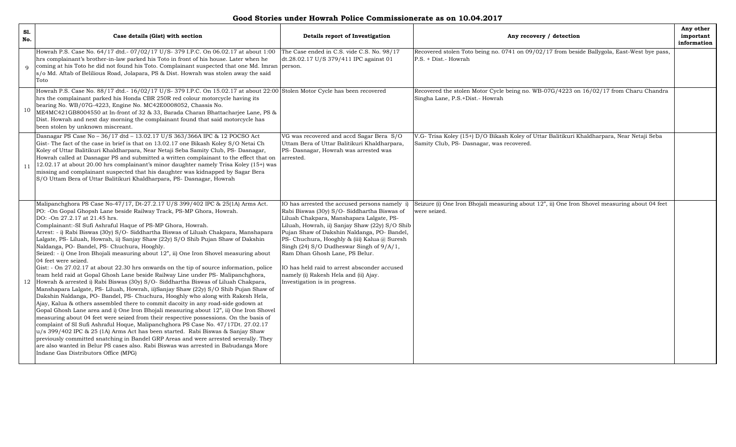| S1.<br>No.   | Case details (Gist) with section                                                                                                                                                                                                                                                                                                                                                                                                                                                                                                                                                                                                                                                                                                                                                                                                                                                                                                                                                                                                                                                                                                                                                                                                                                                                                                                                                                                                                                                                                                                                                                                                                                                                                           | Details report of Investigation                                                                                                                                                                                                                                                                                                                                                                                                                                                                   | Any recovery / detection                                                                                                                | Any other<br>important<br>information |
|--------------|----------------------------------------------------------------------------------------------------------------------------------------------------------------------------------------------------------------------------------------------------------------------------------------------------------------------------------------------------------------------------------------------------------------------------------------------------------------------------------------------------------------------------------------------------------------------------------------------------------------------------------------------------------------------------------------------------------------------------------------------------------------------------------------------------------------------------------------------------------------------------------------------------------------------------------------------------------------------------------------------------------------------------------------------------------------------------------------------------------------------------------------------------------------------------------------------------------------------------------------------------------------------------------------------------------------------------------------------------------------------------------------------------------------------------------------------------------------------------------------------------------------------------------------------------------------------------------------------------------------------------------------------------------------------------------------------------------------------------|---------------------------------------------------------------------------------------------------------------------------------------------------------------------------------------------------------------------------------------------------------------------------------------------------------------------------------------------------------------------------------------------------------------------------------------------------------------------------------------------------|-----------------------------------------------------------------------------------------------------------------------------------------|---------------------------------------|
| $\mathbf{Q}$ | Howrah P.S. Case No. 64/17 dtd.- 07/02/17 U/S-379 I.P.C. On 06.02.17 at about 1:00<br>hrs complainant's brother-in-law parked his Toto in front of his house. Later when he<br>coming at his Toto he did not found his Toto. Complainant suspected that one Md. Imran person.<br>s/o Md. Aftab of Belilious Road, Jolapara, PS & Dist. Howrah was stolen away the said<br>Toto                                                                                                                                                                                                                                                                                                                                                                                                                                                                                                                                                                                                                                                                                                                                                                                                                                                                                                                                                                                                                                                                                                                                                                                                                                                                                                                                             | The Case ended in C.S. vide C.S. No. 98/17<br>dt.28.02.17 U/S 379/411 IPC against 01                                                                                                                                                                                                                                                                                                                                                                                                              | Recovered stolen Toto being no. 0741 on 09/02/17 from beside Ballygola, East-West bye pass,<br>P.S. + Dist.- Howrah                     |                                       |
| 10           | Howrah P.S. Case No. 88/17 dtd.- 16/02/17 U/S-379 I.P.C. On 15.02.17 at about 22:00 Stolen Motor Cycle has been recovered<br>hrs the complainant parked his Honda CBR 250R red colour motorcycle having its<br>bearing No. WB/07G-4223, Engine No. MC42E0008052, Chassis No.<br>ME4MC421GB8004550 at In-front of 32 & 33, Barada Charan Bhattacharjee Lane, PS &<br>Dist. Howrah and next day morning the complainant found that said motorcycle has<br>been stolen by unknown miscreant.                                                                                                                                                                                                                                                                                                                                                                                                                                                                                                                                                                                                                                                                                                                                                                                                                                                                                                                                                                                                                                                                                                                                                                                                                                  |                                                                                                                                                                                                                                                                                                                                                                                                                                                                                                   | Recovered the stolen Motor Cycle being no. WB-07G/4223 on 16/02/17 from Charu Chandra<br>Singha Lane, P.S.+Dist.- Howrah                |                                       |
| 11           | Dasnagar PS Case No - 36/17 dtd - 13.02.17 U/S 363/366A IPC & 12 POCSO Act<br>Gist-The fact of the case in brief is that on 13.02.17 one Bikash Koley S/O Netai Ch<br>Koley of Uttar Balitikuri Khaldharpara, Near Netaji Seba Samity Club, PS- Dasnagar,<br>Howrah called at Dasnagar PS and submitted a written complainant to the effect that on<br>12.02.17 at about 20.00 hrs complainant's minor daughter namely Trisa Koley (15+) was<br>missing and complainant suspected that his daughter was kidnapped by Sagar Bera<br>S/O Uttam Bera of Uttar Balitikuri Khaldharpara, PS- Dasnagar, Howrah                                                                                                                                                                                                                                                                                                                                                                                                                                                                                                                                                                                                                                                                                                                                                                                                                                                                                                                                                                                                                                                                                                                   | VG was recovered and accd Sagar Bera S/O<br>Uttam Bera of Uttar Balitikuri Khaldharpara,<br>PS- Dasnagar, Howrah was arrested was<br>arrested.                                                                                                                                                                                                                                                                                                                                                    | V.G- Trisa Koley (15+) D/O Bikash Koley of Uttar Balitikuri Khaldharpara, Near Netaji Seba<br>Samity Club, PS- Dasnagar, was recovered. |                                       |
| 12           | Malipanchghora PS Case No-47/17, Dt-27.2.17 U/S 399/402 IPC & 25(1A) Arms Act.<br>PO: - On Gopal Ghopsh Lane beside Railway Track, PS-MP Ghora, Howrah.<br>DO: -On 27.2.17 at 21.45 hrs.<br>Complainant:-SI Sufi Ashraful Haque of PS-MP Ghora, Howrah.<br>Arrest: - i) Rabi Biswas (30y) S/O- Siddhartha Biswas of Liluah Chakpara, Manshapara<br>Lalgate, PS- Liluah, Howrah, ii) Sanjay Shaw (22y) S/O Shib Pujan Shaw of Dakshin<br>Naldanga, PO- Bandel, PS- Chuchura, Hooghly.<br>Seized: - i) One Iron Bhojali measuring about 12", ii) One Iron Shovel measuring about<br>04 feet were seized.<br>Gist: - On 27.02.17 at about 22.30 hrs onwards on the tip of source information, police<br>team held raid at Gopal Ghosh Lane beside Railway Line under PS- Malipanchghora,<br>Howrah & arrested i) Rabi Biswas (30y) S/O- Siddhartha Biswas of Liluah Chakpara,<br>Manshapara Lalgate, PS- Liluah, Howrah, ii)Sanjay Shaw (22y) S/O Shib Pujan Shaw of<br>Dakshin Naldanga, PO- Bandel, PS- Chuchura, Hooghly who along with Rakesh Hela,<br>Ajay, Kalua & others assembled there to commit dacoity in any road-side godown at<br>Gopal Ghosh Lane area and i) One Iron Bhojali measuring about 12", ii) One Iron Shovel<br>measuring about 04 feet were seized from their respective possessions. On the basis of<br>complaint of SI Sufi Ashraful Hoque, Malipanchghora PS Case No. 47/17Dt. 27.02.17<br>u/s 399/402 IPC & 25 (1A) Arms Act has been started. Rabi Biswas & Sanjay Shaw<br>previously committed snatching in Bandel GRP Areas and were arrested severally. They<br>are also wanted in Belur PS cases also. Rabi Biswas was arrested in Babudanga More<br>Indane Gas Distributors Office (MPG) | IO has arrested the accused persons namely i)<br>Rabi Biswas (30y) S/O- Siddhartha Biswas of<br>Liluah Chakpara, Manshapara Lalgate, PS-<br>Liluah, Howrah, ii) Sanjay Shaw (22y) S/O Shib<br>Pujan Shaw of Dakshin Naldanga, PO- Bandel,<br>PS- Chuchura, Hooghly & (iii) Kalua @ Suresh<br>Singh (24) S/O Dudheswar Singh of 9/A/1,<br>Ram Dhan Ghosh Lane, PS Belur.<br>IO has held raid to arrest absconder accused<br>namely (i) Rakesh Hela and (ii) Ajay.<br>Investigation is in progress. | Seizure (i) One Iron Bhojali measuring about 12", ii) One Iron Shovel measuring about 04 feet<br>were seized.                           |                                       |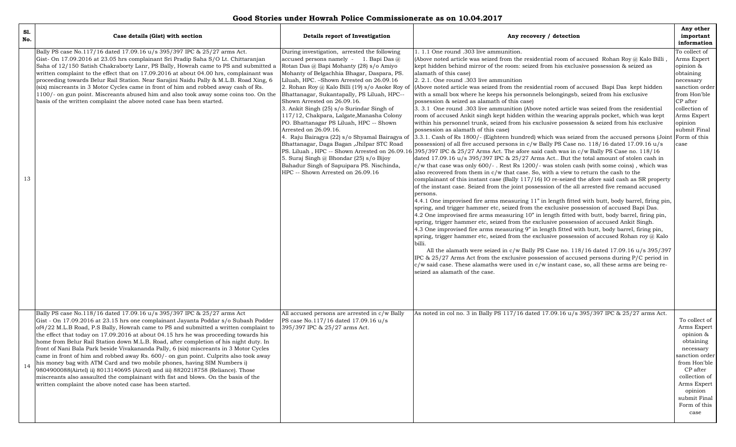**Good Stories under Howrah Police Commissionerate as on 10.04.2017**

| S1.<br>No. | Case details (Gist) with section                                                                                                                                                                                                                                                                                                                                                                                                                                                                                                                                                                                                                                                                                                                                                                                                                                                                                                           | Details report of Investigation                                                                                                                                                                                                                                                                                                                                                                                                                                                                                                                                                                                                                                                                                                                           | Any recovery / detection                                                                                                                                                                                                                                                                                                                                                                                                                                                                                                                                                                                                                                                                                                                                                                                                                                                                                                                                                                                                                                                                                                                                                                                                                                                                                                                                                                                                                                                                                                                                                                                                                                                                                                                                                                                                                                                                                                                                                                                                                                                                                                                                                                                                                                                                                                                                                                                                                                                                                                                                                                                                                                            | Any other<br>important<br>information                                                                                                                                                                |
|------------|--------------------------------------------------------------------------------------------------------------------------------------------------------------------------------------------------------------------------------------------------------------------------------------------------------------------------------------------------------------------------------------------------------------------------------------------------------------------------------------------------------------------------------------------------------------------------------------------------------------------------------------------------------------------------------------------------------------------------------------------------------------------------------------------------------------------------------------------------------------------------------------------------------------------------------------------|-----------------------------------------------------------------------------------------------------------------------------------------------------------------------------------------------------------------------------------------------------------------------------------------------------------------------------------------------------------------------------------------------------------------------------------------------------------------------------------------------------------------------------------------------------------------------------------------------------------------------------------------------------------------------------------------------------------------------------------------------------------|---------------------------------------------------------------------------------------------------------------------------------------------------------------------------------------------------------------------------------------------------------------------------------------------------------------------------------------------------------------------------------------------------------------------------------------------------------------------------------------------------------------------------------------------------------------------------------------------------------------------------------------------------------------------------------------------------------------------------------------------------------------------------------------------------------------------------------------------------------------------------------------------------------------------------------------------------------------------------------------------------------------------------------------------------------------------------------------------------------------------------------------------------------------------------------------------------------------------------------------------------------------------------------------------------------------------------------------------------------------------------------------------------------------------------------------------------------------------------------------------------------------------------------------------------------------------------------------------------------------------------------------------------------------------------------------------------------------------------------------------------------------------------------------------------------------------------------------------------------------------------------------------------------------------------------------------------------------------------------------------------------------------------------------------------------------------------------------------------------------------------------------------------------------------------------------------------------------------------------------------------------------------------------------------------------------------------------------------------------------------------------------------------------------------------------------------------------------------------------------------------------------------------------------------------------------------------------------------------------------------------------------------------------------------|------------------------------------------------------------------------------------------------------------------------------------------------------------------------------------------------------|
| 13         | Bally PS case No.117/16 dated 17.09.16 u/s 395/397 IPC & 25/27 arms Act.<br>Gist- On 17.09.2016 at 23.05 hrs complainant Sri Pradip Saha S/O Lt. Chittaranjan<br>Saha of 12/150 Satish Chakraborty Lanr, PS Bally, Howrah came to PS and submitted a<br>written complaint to the effect that on 17.09.2016 at about 04.00 hrs, complainant was<br>proceeding towards Belur Rail Station. Near Sarajini Naidu Pally & M.L.B. Road Xing, 6<br>(six) miscreants in 3 Motor Cycles came in front of him and robbed away cash of Rs.<br>1100/- on gun point. Miscreants abused him and also took away some coins too. On the<br>basis of the written complaint the above noted case has been started.                                                                                                                                                                                                                                           | During investigation, arrested the following<br>accused persons namely - 1. Bapi Das $@$<br>Rotan Das @ Bapi Mohanty (28) s/o Amiyo<br>Mohanty of Belgachhia Bhagar, Daspara, PS.<br>Liluah, HPC. - Shown Arrested on 26.09.16<br>2. Rohan Roy @ Kalo Billi (19) s/o Asoke Roy of<br>Bhattanagar, Sukantapally, PS Liluah, HPC--<br>Shown Arrested on 26.09.16.<br>3. Ankit Singh (25) s/o Surindar Singh of<br>117/12, Chakpara, Lalgate, Manasha Colony<br>PO. Bhattanagar PS Liluah, HPC -- Shown<br>Arrested on 26.09.16.<br>4. Raju Bairagya (22) s/o Shyamal Bairagya of<br>Bhattanagar, Daga Bagan , Jhilpar STC Road<br>5. Suraj Singh @ Bhondar (25) s/o Bijoy<br>Bahadur Singh of Sapuipara PS. Nischinda,<br>HPC -- Shown Arrested on 26.09.16 | 1. 1.1 One round .303 live ammunition.<br>(Above noted article was seized from the residential room of accused Rohan Roy @ Kalo Billi<br>kept hidden behind mirror of the room: seized from his exclusive possession & seized as<br>alamath of this case)<br>2.2.1. One round .303 live ammunition<br>(Above noted article was seized from the residential room of accused Bapi Das kept hidden<br>with a small box where he keeps his personnels belongingsb, seized from his exclusive<br>possession & seized as alamath of this case)<br>3. 3.1 One round .303 live ammunition (Above noted article was seized from the residential<br>room of accused Ankit singh kept hidden within the wearing apprals pocket, which was kept<br>within his personnel trunk, seized from his exclusive possession & seized from his exclusive<br>possession as alamath of this case)<br>3.3.1. Cash of Rs 1800/- (Eighteen hundred) which was seized from the accused persons (Joint<br>possession) of all five accused persons in c/w Bally PS Case no. 118/16 dated 17.09.16 u/s<br>PS. Liluah, HPC -- Shown Arrested on 26.09.16 395/397 IPC & 25/27 Arms Act. The afore said cash was in c/w Bally PS Case no. 118/16<br>dated 17.09.16 $u/s$ 395/397 IPC & 25/27 Arms Act But the total amount of stolen cash in<br>$c/w$ that case was only 600/-. Rest Rs 1200/- was stolen cash (with some coins), which was<br>also recovered from them in $c/w$ that case. So, with a view to return the cash to the<br>complainant of this instant case (Bally $117/16$ ) IO re-seized the afore said cash as SR property<br>of the instant case. Seized from the joint possession of the all arrested five remand accused<br>persons.<br>4.4.1 One improvised fire arms measuring 11" in length fitted with butt, body barrel, firing pin,<br>spring, and trigger hammer etc, seized from the exclusive possession of accused Bapi Das.<br>4.2 One improvised fire arms measuring 10" in length fitted with butt, body barrel, firing pin,<br>spring, trigger hammer etc, seized from the exclusive possession of accused Ankit Singh.<br>4.3 One improvised fire arms measuring 9" in length fitted with butt, body barrel, firing pin,<br>spring, trigger hammer etc, seized from the exclusive possession of accused Rohan roy $@$ Kalo<br>billi.<br>All the alamath were seized in c/w Bally PS Case no. 118/16 dated 17.09.16 u/s 395/397<br>IPC & 25/27 Arms Act from the exclusive possession of accused persons during $P/C$ period in<br>c/w said case. These alamaths were used in c/w instant case, so, all these arms are being re-<br>seized as alamath of the case. | To collect of<br>Arms Expert<br>opinion &<br>obtaining<br>necessary<br>sanction order<br>from Hon'ble<br>CP after<br>collection of<br>Arms Expert<br>opinion<br>submit Final<br>Form of this<br>case |
| 14         | Bally PS case No.118/16 dated 17.09.16 u/s 395/397 IPC & 25/27 arms Act<br>Gist - On 17.09.2016 at 23.15 hrs one complainant Jayanta Poddar s/o Subash Podder<br>of4/22 M.L.B Road, P.S Bally, Howrah came to PS and submitted a written complaint to<br>the effect that today on 17.09.2016 at about 04.15 hrs he was proceeding towards his<br>home from Belur Rail Station down M.L.B. Road, after completion of his night duty. In<br>front of Nani Bala Park beside Vivakananda Pally, 6 (six) miscreants in 3 Motor Cycles<br>came in front of him and robbed away Rs. 600/- on gun point. Culprits also took away<br>his money bag with ATM Card and two mobile phones, having SIM Numbers i)<br>9804900088(Airtel) ii) 8013140695 (Aircel) and iii) 8820218758 (Reliance). Those<br>miscreants also assaulted the complainant with fist and blows. On the basis of the<br>written complaint the above noted case has been started. | All accused persons are arrested in c/w Bally<br>PS case No.117/16 dated 17.09.16 u/s<br>395/397 IPC & 25/27 arms Act.                                                                                                                                                                                                                                                                                                                                                                                                                                                                                                                                                                                                                                    | As noted in col no. 3 in Bally PS 117/16 dated 17.09.16 u/s 395/397 IPC & 25/27 arms Act.                                                                                                                                                                                                                                                                                                                                                                                                                                                                                                                                                                                                                                                                                                                                                                                                                                                                                                                                                                                                                                                                                                                                                                                                                                                                                                                                                                                                                                                                                                                                                                                                                                                                                                                                                                                                                                                                                                                                                                                                                                                                                                                                                                                                                                                                                                                                                                                                                                                                                                                                                                           | To collect of<br>Arms Expert<br>opinion &<br>obtaining<br>necessary<br>sanction order<br>from Hon'ble<br>CP after<br>collection of<br>Arms Expert<br>opinion<br>submit Final<br>Form of this<br>case |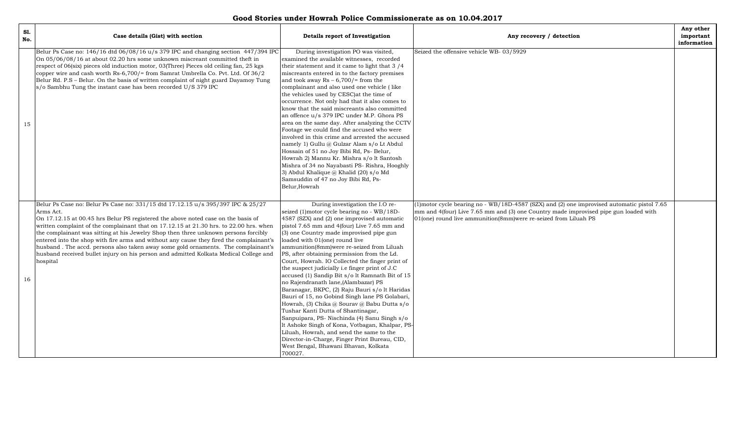| Good Stories under Howrah Police Commissionerate as on 10.04.2017 |  |  |
|-------------------------------------------------------------------|--|--|
|-------------------------------------------------------------------|--|--|

| S1.<br>No. | Case details (Gist) with section                                                                                                                                                                                                                                                                                                                                                                                                                                                                                                                                                                                                                        | Details report of Investigation                                                                                                                                                                                                                                                                                                                                                                                                                                                                                                                                                                                                                                                                                                                                                                                                                                                                                                                                                                           | Any recovery / detection                                                                                                                                                                                                                               | Any other<br>important<br>information |
|------------|---------------------------------------------------------------------------------------------------------------------------------------------------------------------------------------------------------------------------------------------------------------------------------------------------------------------------------------------------------------------------------------------------------------------------------------------------------------------------------------------------------------------------------------------------------------------------------------------------------------------------------------------------------|-----------------------------------------------------------------------------------------------------------------------------------------------------------------------------------------------------------------------------------------------------------------------------------------------------------------------------------------------------------------------------------------------------------------------------------------------------------------------------------------------------------------------------------------------------------------------------------------------------------------------------------------------------------------------------------------------------------------------------------------------------------------------------------------------------------------------------------------------------------------------------------------------------------------------------------------------------------------------------------------------------------|--------------------------------------------------------------------------------------------------------------------------------------------------------------------------------------------------------------------------------------------------------|---------------------------------------|
| 15         | Belur Ps Case no: $146/16$ dtd $06/08/16$ u/s 379 IPC and changing section 447/394 IPC<br>On 05/06/08/16 at about 02.20 hrs some unknown miscreant committed theft in<br>respect of 06(six) pieces old induction motor, 03(Three) Pieces old ceiling fan, 25 kgs<br>copper wire and cash worth Rs-6,700/= from Samrat Umbrella Co. Pvt. Ltd. Of 36/2<br>Belur Rd. P.S – Belur. On the basis of written complaint of night guard Dayamoy Tung<br>s/o Sambhu Tung the instant case has been recorded U/S 379 IPC                                                                                                                                          | During investigation PO was visited,<br>examined the available witnesses, recorded<br>their statement and it came to light that 3/4<br>miscreants entered in to the factory premises<br>and took away $Rs - 6,700/$ from the<br>complainant and also used one vehicle (like<br>the vehicles used by CESC) at the time of<br>occurrence. Not only had that it also comes to<br>know that the said miscreants also committed<br>an offence u/s 379 IPC under M.P. Ghora PS<br>area on the same day. After analyzing the CCTV<br>Footage we could find the accused who were<br>involved in this crime and arrested the accused<br>namely 1) Gullu @ Gulzar Alam s/o Lt Abdul<br>Hossain of 51 no Joy Bibi Rd, Ps- Belur,<br>Howrah 2) Mannu Kr. Mishra s/o lt Santosh<br>Mishra of 34 no Nayabasti PS- Rishra, Hooghly<br>3) Abdul Khalique @ Khalid (20) s/o Md<br>Samsuddin of 47 no Joy Bibi Rd, Ps-<br>Belur, Howrah                                                                                     | Seized the offensive vehicle WB-03/5929                                                                                                                                                                                                                |                                       |
| 16         | Belur Ps Case no: Belur Ps Case no: 331/15 dtd 17.12.15 u/s 395/397 IPC & 25/27<br>Arms Act.<br>On 17.12.15 at 00.45 hrs Belur PS registered the above noted case on the basis of<br>written complaint of the complainant that on 17.12.15 at 21.30 hrs. to 22.00 hrs. when<br>the complainant was sitting at his Jewelry Shop then three unknown persons forcibly<br>entered into the shop with fire arms and without any cause they fired the complainant's<br>husband. The accd. persons also taken away some gold ornaments. The complainant's<br>husband received bullet injury on his person and admitted Kolkata Medical College and<br>hospital | During investigation the I.O re-<br>seized (1)motor cycle bearing no - WB/18D-<br>4587 (SZX) and (2) one improvised automatic<br>pistol 7.65 mm and 4(four) Live 7.65 mm and<br>(3) one Country made improvised pipe gun<br>loaded with 01(one) round live<br>ammunition(8mm)were re-seized from Liluah<br>PS, after obtaining permission from the Ld.<br>Court, Howrah. IO Collected the finger print of<br>the suspect judicially <i>i.e</i> finger print of J.C<br>accused (1) Sandip Bit s/o lt Ramnath Bit of 15<br>no Rajendranath lane, (Alambazar) PS<br>Baranagar, BKPC, (2) Raju Bauri s/o lt Haridas<br>Bauri of 15, no Gobind Singh lane PS Golabari,<br>Howrah, (3) Chika @ Sourav @ Babu Dutta s/o<br>Tushar Kanti Dutta of Shantinagar,<br>Sanpuipara, PS- Nischinda (4) Sanu Singh s/o<br>lt Ashoke Singh of Kona, Votbagan, Khalpar, PS-<br>Liluah, Howrah, and send the same to the<br>Director-in-Charge, Finger Print Bureau, CID,<br>West Bengal, Bhawani Bhavan, Kolkata<br>700027. | (1)motor cycle bearing no - WB/18D-4587 (SZX) and (2) one improvised automatic pistol 7.65<br>mm and 4(four) Live 7.65 mm and (3) one Country made improvised pipe gun loaded with<br>01(one) round live ammunition(8mm) were re-seized from Liluah PS |                                       |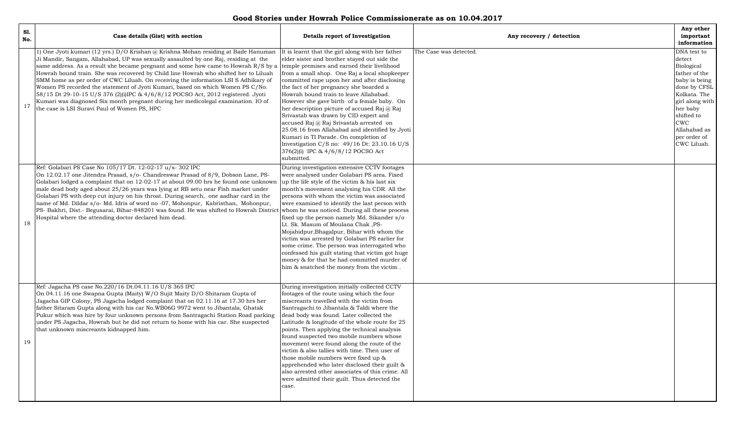| Good Stories under Howrah Police Commissionerate as on 10.04.2017 |  |  |
|-------------------------------------------------------------------|--|--|
|-------------------------------------------------------------------|--|--|

| S1.<br>No. | Case details (Gist) with section                                                                                                                                                                                                                                                                                                                                                                                                                                                                                                                                                                                                                                                                                                                            | Details report of Investigation                                                                                                                                                                                                                                                                                                                                                                                                                                                                                                                                                                                                                                                                                          | Any recovery / detection | Any other<br>important<br>information                                                                                                                                                                           |
|------------|-------------------------------------------------------------------------------------------------------------------------------------------------------------------------------------------------------------------------------------------------------------------------------------------------------------------------------------------------------------------------------------------------------------------------------------------------------------------------------------------------------------------------------------------------------------------------------------------------------------------------------------------------------------------------------------------------------------------------------------------------------------|--------------------------------------------------------------------------------------------------------------------------------------------------------------------------------------------------------------------------------------------------------------------------------------------------------------------------------------------------------------------------------------------------------------------------------------------------------------------------------------------------------------------------------------------------------------------------------------------------------------------------------------------------------------------------------------------------------------------------|--------------------------|-----------------------------------------------------------------------------------------------------------------------------------------------------------------------------------------------------------------|
| 17         | 1) One Jyoti kumari (12 yrs.) D/O Krishan @ Krishna Mohan residing at Bade Hanuman<br>Ji Mandir, Sangam, Allahabad, UP was sexually assaulted by one Raj, residing at the<br>same address. As a result she became pregnant and some how came to Howrah $R/S$ by a<br>Howrah bound train. She was recovered by Child line Howrah who shifted her to Liluah<br>SMM home as per order of CWC Liluah. On receiving the information LSI S Adhikary of<br>Women PS recorded the statement of Jyoti Kumari, based on which Women PS C/No.<br>58/15 Dt 29-10-15 U/S 376 (2)(i)IPC & 4/6/8/12 POCSO Act, 2012 registered. Jyoti<br>Kumari was diagnosed Six month pregnant during her medicolegal examination. IO of<br>the case is LSI Suravi Paul of Women PS, HPC | It is learnt that the girl along with her father<br>elder sister and brother stayed out side the<br>temple premises and earned their livelihood<br>from a small shop. One Raj a local shopkeeper<br>committed rape upon her and after disclosing<br>the fact of her pregnancy she boarded a<br>Howrah bound train to leave Allahabad.<br>However she gave birth of a female baby. On<br>her description picture of accused Raj @ Raj<br>Srivastab was drawn by CID expert and<br>accused Raj @ Raj Srivastab arrested on<br>25.08.16 from Allahabad and identified by Jyoti<br>Kumari in TI Parade. On completion of<br>Investigation C/S no: 49/16 Dt: 23.10.16 U/S<br>376(2)(i) IPC & 4/6/8/12 POCSO Act<br>submitted. | The Case was detected.   | DNA test to<br>detect<br>Biological<br>father of the<br>baby is being<br>done by CFSL<br>Kolkata. The<br>girl along with<br>her baby<br>shifted to<br><b>CWC</b><br>Allahabad as<br>per order of<br>CWC Liluah. |
| 18         | Ref: Golabari PS Case No 105/17 Dt. 12-02-17 u/s-302 IPC<br>On 12.02.17 one Jitendra Prasad, s/o- Chandreswar Prasad of 8/9, Dobson Lane, PS-<br>Golabari lodged a complaint that on 12-02-17 at about 09.00 hrs he found one unknown<br>male dead body aged about 25/26 years was lying at RB setu near Fish market under<br>Golabari PS with deep cut injury on his throat. During search, one aadhar card in the<br>name of Md. Dildar s/o- Md. Idris of word no -07, Mohonpur, Kabristhan, Mohonpur,<br>PS- Bakhri, Dist.- Begusarai, Bihar-848201 was found. He was shifted to Howrah District whom he was noticed. During all these process<br>Hospital where the attending doctor declared him dead.                                                 | During investigation extensive CCTV footages<br>were analysed under Golabari PS area. Fixed<br>up the life style of the victim & his last six<br>month's movement analysing his CDR. All the<br>persons with whom the victim was associated<br>were examined to identify the last person with<br>fixed up the person namely Md. Sikander s/o<br>Lt. Sk. Masum of Moulana Chak, PS-<br>Mojahidpur, Bhagalpur, Bihar with whom the<br>victim was arrested by Golabari PS earlier for<br>some crime. The person was interrogated who<br>confessed his guilt stating that victim got huge<br>money & for that he had committed murder of<br>him & snatched the money from the victim.                                        |                          |                                                                                                                                                                                                                 |
| 19         | Ref: Jagacha PS case No.220/16 Dt.04.11.16 U/S 365 IPC<br>On 04.11.16 one Swapna Gupta (Maity) W/O Sujit Maity D/O Shitaram Gupta of<br>Jagacha GIP Colony, PS Jagacha lodged complaint that on 02.11.16 at 17.30 hrs her<br>father Sitaram Gupta along with his car No.WB06G 9972 went to Jibantala, Ghatak<br>Pukur which was hire by four unknown persons from Santragachi Station Road parking<br>under PS Jagacha, Howrah but he did not return to home with his car. She suspected<br>that unknown miscreants kidnapped him.                                                                                                                                                                                                                          | During investigation initially collected CCTV<br>footages of the route using which the four<br>miscreants travelled with the victim from<br>Santragachi to Jibantala & Taldi where the<br>dead body was found. Later collected the<br>Latitude & longitude of the whole route for 25<br>points. Then applying the technical analysis<br>found suspected two mobile numbers whose<br>movement were found along the route of the<br>victim & also tallies with time. Then user of<br>those mobile numbers were fixed up &<br>apprehended who later disclosed their guilt &<br>also arrested other associates of this crime. All<br>were admitted their guilt. Thus detected the<br>case.                                   |                          |                                                                                                                                                                                                                 |